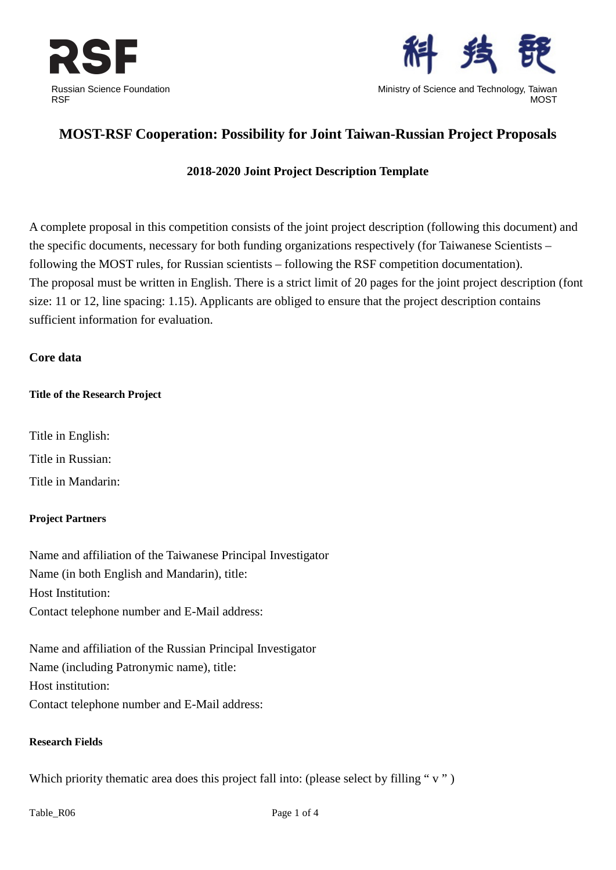



Ministry of Science and Technology, Taiwan **MOST** 

# **MOST-RSF Cooperation: Possibility for Joint Taiwan-Russian Project Proposals**

# **2018-2020 Joint Project Description Template**

A complete proposal in this competition consists of the joint project description (following this document) and the specific documents, necessary for both funding organizations respectively (for Taiwanese Scientists – following the MOST rules, for Russian scientists – following the RSF competition documentation). The proposal must be written in English. There is a strict limit of 20 pages for the joint project description (font size: 11 or 12, line spacing: 1.15). Applicants are obliged to ensure that the project description contains sufficient information for evaluation.

# **Core data**

#### **Title of the Research Project**

Title in English: Title in Russian: Title in Mandarin:

# **Project Partners**

Name and affiliation of the Taiwanese Principal Investigator Name (in both English and Mandarin), title: Host Institution: Contact telephone number and E-Mail address:

Name and affiliation of the Russian Principal Investigator Name (including Patronymic name), title: Host institution: Contact telephone number and E-Mail address:

#### **Research Fields**

Which priority thematic area does this project fall into: (please select by filling "v")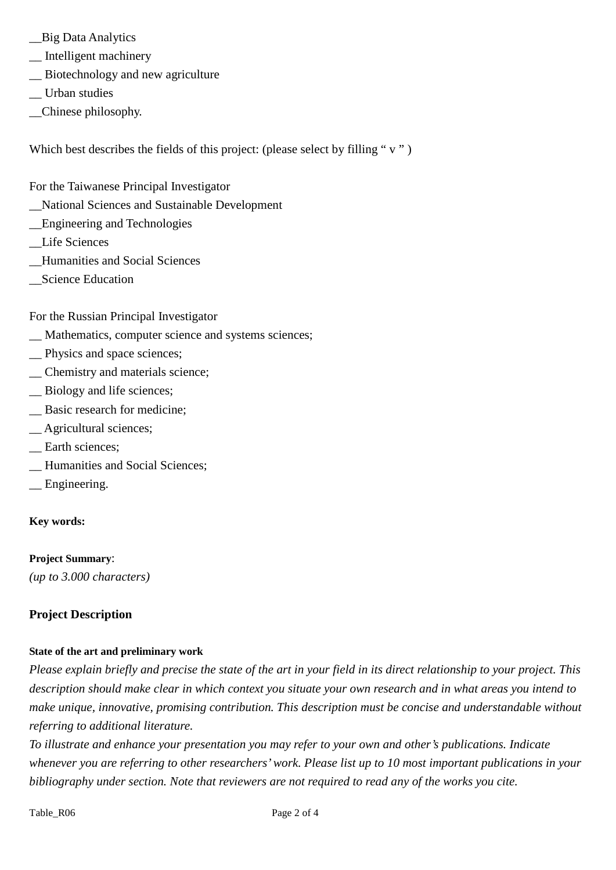- \_\_Big Data Analytics
- \_\_ Intelligent machinery
- \_\_ Biotechnology and new agriculture
- \_\_ Urban studies
- \_\_Chinese philosophy.

Which best describes the fields of this project: (please select by filling "v")

- For the Taiwanese Principal Investigator
- \_\_National Sciences and Sustainable Development
- \_\_Engineering and Technologies
- \_\_Life Sciences
- \_\_Humanities and Social Sciences
- \_\_Science Education

For the Russian Principal Investigator

- \_\_ Mathematics, computer science and systems sciences;
- \_\_ Physics and space sciences;
- \_\_ Chemistry and materials science;
- \_\_ Biology and life sciences;
- \_\_ Basic research for medicine;
- \_\_ Agricultural sciences;
- \_\_ Earth sciences;
- \_\_ Humanities and Social Sciences;
- \_\_ Engineering.

# **Key words:**

#### **Project Summary**:

*(up to 3.000 characters)*

# **Project Description**

#### **State of the art and preliminary work**

*Please explain briefly and precise the state of the art in your field in its direct relationship to your project. This description should make clear in which context you situate your own research and in what areas you intend to make unique, innovative, promising contribution. This description must be concise and understandable without referring to additional literature.*

*To illustrate and enhance your presentation you may refer to your own and other's publications. Indicate whenever you are referring to other researchers' work. Please list up to 10 most important publications in your bibliography under section. Note that reviewers are not required to read any of the works you cite.*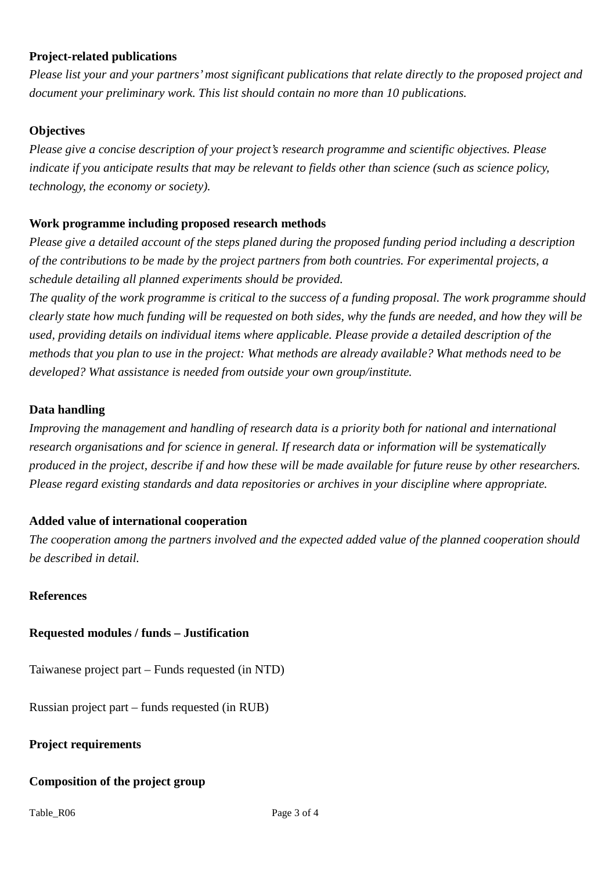# **Project-related publications**

*Please list your and your partners'most significant publications that relate directly to the proposed project and document your preliminary work. This list should contain no more than 10 publications.*

# **Objectives**

*Please give a concise description of your project's research programme and scientific objectives. Please indicate if you anticipate results that may be relevant to fields other than science (such as science policy, technology, the economy or society).* 

# **Work programme including proposed research methods**

*Please give a detailed account of the steps planed during the proposed funding period including a description of the contributions to be made by the project partners from both countries. For experimental projects, a schedule detailing all planned experiments should be provided.* 

*The quality of the work programme is critical to the success of a funding proposal. The work programme should clearly state how much funding will be requested on both sides, why the funds are needed, and how they will be used, providing details on individual items where applicable. Please provide a detailed description of the methods that you plan to use in the project: What methods are already available? What methods need to be developed? What assistance is needed from outside your own group/institute.*

# **Data handling**

*Improving the management and handling of research data is a priority both for national and international research organisations and for science in general. If research data or information will be systematically produced in the project, describe if and how these will be made available for future reuse by other researchers. Please regard existing standards and data repositories or archives in your discipline where appropriate.*

# **Added value of international cooperation**

*The cooperation among the partners involved and the expected added value of the planned cooperation should be described in detail.*

# **References**

# **Requested modules / funds – Justification**

Taiwanese project part – Funds requested (in NTD)

Russian project part – funds requested (in RUB)

**Project requirements**

# **Composition of the project group**